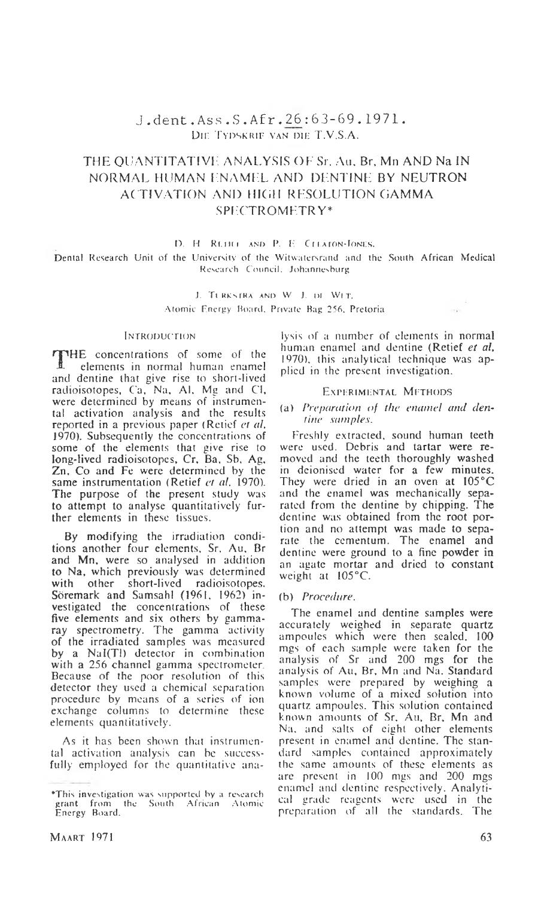# **J . d e n t** .Ass **. S . Af r .** 2\_6 : 6 3 - 6 9 . 1 9 7 1 . DIE TYDSKRIF VAN DIE T.V.S.A.

# **THE QUANTITATIVE. ANALYSIS OF Sr. An. Br. Mn AND Na IN NORMAL HUMAN ENAMEL AND DENTINE BY NEUTRON AC TIVATION AND IllCill RESOLUTION GAMMA SPECTROMETRY\***

D. H RUDLE AND P. E CELATON-JONES.

**Dental Research Unit of the University of the Witwatcrsrand and the South African Medical Research Council. Johannesburg**

> J. Tl KKsrKA AN!) W J. D! Wl T. **Atomic Energy Hoard. Private Hag 256, Pretoria**

#### **Introduction**

THE concentrations of some of the<br>
elements in normal human enamel elements in normal human enamel and dentine that give rise to short-lived radioisotopes, Ca, Na, Al, Mg and Cl, were determined by means of instrumental activation analysis and the results reported in a previous paper (Retief *et al,* 1970). Subsequently the concentrations of some of the elements that give rise to long-lived radioisotopes, Cr, Ba, Sb, Ag, Zn, Co and Fe were determined by the same instrumentation (Retief *et al,* 1970). The purpose of the present study was to attempt to analyse quantitatively further elements in these tissues.

By modifying the irradiation conditions another four elements, Sr. Au, Br and Mn, were so analysed in addition to Na, which previously was determined with other short-lived radioisotopes. Soremark and Samsahl (1961. 1962) investigated the concentrations of these five elements and six others by gammaray spectrometry. The gamma activity of the irradiated samples was measured by a Nal(Tl) detector in combination with a 256 channel gamma spectrometer. Because of the poor resolution of this detector they used a chemical separation procedure by means of a series of ion exchange columns to determine these elements quantitatively.

As it has been shown that instrumental activation analysis can be successfully employed for the quantitative analysis of a number of elements in normal human enamel and dentine (Retief *et al,* 1970), this analytical technique was applied in the present investigation.

 $-2$ 

### EXPERIMENTAL METHODS

## (a) *Preparation of the enamel and denfine samples.*

Freshly extracted, sound human teeth were used. Debris and tartar were removed and the teeth thoroughly washed in deionised water for a few minutes. They were dried in an oven at 105°C and the enamel was mechanically separated from the dentine by chipping. The dentine was obtained from the root portion and no attempt was made to separate the ccmentum. The enamel and dentine were ground to a fine powder in an agate mortar and dried to constant weight at 105°C.

### (b) *Procedure*.

The enamel and dentine samples were accurately weighed in separate quartz ampoules which were then sealed. 100 mgs of each sample were taken for the analysis of Sr and 200 mgs for the analysis of Au, Br, Mn and Na. Standard samples were prepared by weighing a known volume of a mixed solution into quartz ampoules. This solution contained known amounts of Sr, Au, Br, Mn and Na, and salts of eight other elements present in enamel and dentine. The standard samples contained approximately the same amounts of these elements as are present in 100 mgs and 200 mgs enamel and dentine respectively. Analytical grade reagents were used in the preparation of all the standards. The

**<sup>\*</sup>This investigation was supported by a research grant from the South African Atomic Energy Board.**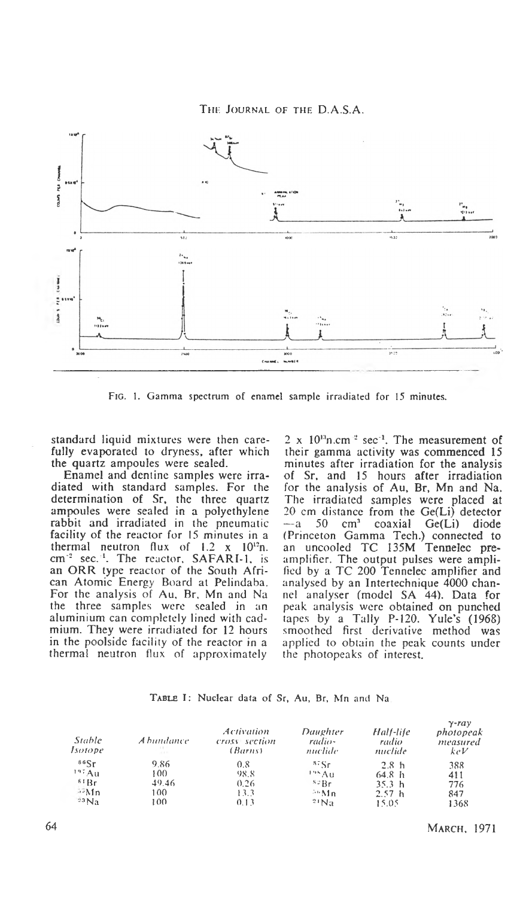**The Journal of the D.A.S.A.**



**Fig. 1. Gamma spectrum of enamel sample irradiated for 15 minutes.**

standard liquid mixtures were then carefully evaporated to dryness, after which the quartz ampoules were sealed.

Enamel and dentine samples were irradiated with standard samples. For the determination of Sr, the three quartz ampoules were sealed in a polyethylene rabbit and irradiated in the pneumatic facility of the reactor for 15 minutes in a thermal neutron flux of  $1.2 \times 10^{12}$ n. cm<sup>-2</sup> sec.<sup>11</sup>. The reactor, SAFARI-1, is an ORR type reactor of the South African Atomic Energy Board at Pelindaba. For the analysis of Au, Br, Mn and Na the three samples were sealed in an aluminium can completely lined with cadmium. They were irradiated for 12 hours in the poolside facility of the reactor in a thermal neutron flux of approximately

 $2 \times 10^{13}$ n.cm<sup>-2</sup> sec<sup>-1</sup>. The measurement of their gamma activity was commenced 15 minutes after irradiation for the analysis of Sr, and 15 hours after irradiation for the analysis of Au, Br, Mn and Na. The irradiated samples were placed at 20 cm distance from the Ge(Li) detector<br> $- a$  50 cm<sup>3</sup> coaxial Ge(Li) diode coaxial (Princeton Gamma Tech.) connected to an uncooled TC 135M Tennelec preamplifier. The output pulses were amplified by a TC 200 Tennelec amplifier and analysed by an Intertechnique 4000 channel analyser (model SA 44). Data for peak analysis were obtained on punched tapes by a Tally P-120. Yule's (1968) smoothed first derivative method was applied to obtain the peak counts under the photopeaks of interest.

| TABLE I: Nuclear data of Sr, Au, Br, Mn and Na. |  |  |  |  |  |  |  |  |  |  |  |
|-------------------------------------------------|--|--|--|--|--|--|--|--|--|--|--|
|-------------------------------------------------|--|--|--|--|--|--|--|--|--|--|--|

| Stable<br>Isotope  | A bundance- | Activation<br>cross section<br>(Barns) | Daughter<br>radio-<br>nuclide | Half-life<br>radio<br>nuclide | $\gamma$ -ray<br>photopeak<br>measured<br>keV |
|--------------------|-------------|----------------------------------------|-------------------------------|-------------------------------|-----------------------------------------------|
| 86Sr               | 9.86        | 0.8                                    | $s_{\rm F}$                   | 2.8 <sub>h</sub>              | 388                                           |
| <sup>197</sup> Au  | 100         | 98.8                                   | <sup>195</sup> Au             | 64.8 h                        | 411                                           |
| 61Br               | 49.46       | 0.26                                   | $5.1 \text{Br}$               | 35.3 <sub>h</sub>             | 776                                           |
| $\rightarrow$ Mn   | 100.        | 13.3                                   | $50$ Mn                       | 2.57h                         | 847                                           |
| $23$ <sub>Na</sub> | 100         | 0.13                                   | 21Na                          | 15.05                         | 1368                                          |

64 **March,** 1971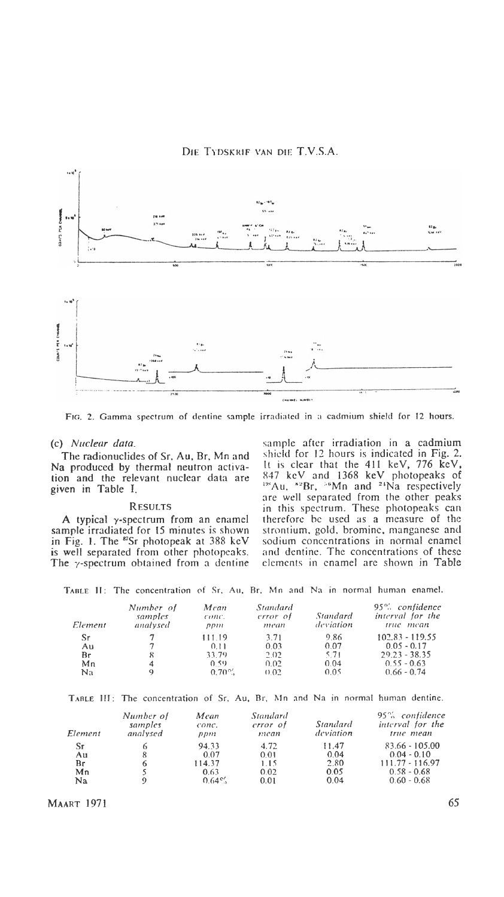

**Fig. 2. Gamma spectrum of dentine sample irradiated in a cadmium shield for 12 hours.**

#### (c) *Nuclear data.*

The radionuclides of Sr, Au, Br, Mn and Na produced by thermal neutron activation and the relevant nuclear data are given in Table I.

### **R esults**

A typical  $\gamma$ -spectrum from an enamel sample irradiated for 15 minutes is shown in Fig. 1. The  $^{87}Sr$  photopeak at 388 keV is well separated from other photopcaks. The y-spectrum obtained from a dentine

sample after irradiation in a cadmium shield for 12 hours is indicated in Fig. 2. It is clear that the 411 keV, 776 keV, 847 keV and 1368 keV photopeaks of <sup>198</sup>Au,  ${}^{82}Br$ ,  ${}^{56}Mn$  and  ${}^{24}Na$  respectively are well separated from the other peaks in this spectrum. These photopeaks can therefore be used as a measure of the strontium, gold, bromine, manganese and sodium concentrations in normal enamel and dentine. The concentrations of these elements in enamel are shown in Table

**Table II: The concentration of Sr, Au, Br, Mn and Na in normal human enamel.**

| Element | Number of<br>samples<br>analysed | Mean<br>conc.<br>ppm | Standard<br>error of<br>mean | Standard<br>deviation | 95% confidence<br>interval for the<br>true mean |
|---------|----------------------------------|----------------------|------------------------------|-----------------------|-------------------------------------------------|
| Sr      |                                  | 11119                | 3.71                         | 9.86                  | $102.83 - 119.55$                               |
| Au      |                                  | 0.11                 | 0.03                         | 0.07                  | $0.05 - 0.17$                                   |
| Вr      | 8                                | 33.79                | 2.02                         | 5.71                  | $29.23 - 38.35$                                 |
| Mn      | 4                                | 0.SO                 | 0.02                         | 0.04                  | $0.55 - 0.63$                                   |
| Na      | 9                                | $0.70\%$             | 0.02                         | 0.05                  | $0.66 - 0.74$                                   |

**T able HI: The concentration of Sr, Au, Br, Mn and Na in normal human dentine.**

| Element | Number of<br>samples<br>analysed | Mean<br>conc.<br>ppm | Standard<br>error of<br>mean | Standard<br>deviation | 95% confidence<br>interval for the<br>true mean |
|---------|----------------------------------|----------------------|------------------------------|-----------------------|-------------------------------------------------|
| Sг      |                                  | 94.33                | 4.72                         | 11.47                 | $83.66 - 105.00$                                |
| Au      |                                  | 0.07                 | 0.01                         | 0.04                  | $0.04 - 0.10$                                   |
| Br      |                                  | 114.37               | 1.15                         | 2.80                  | $111.77 - 116.97$                               |
| Mn      |                                  | 0.63                 | 0.02                         | 0.05                  | $0.58 - 0.68$                                   |
| Na      |                                  | $0.64\%$             | 0.01                         | 0.04                  | $0.60 - 0.68$                                   |

MAART 1971 65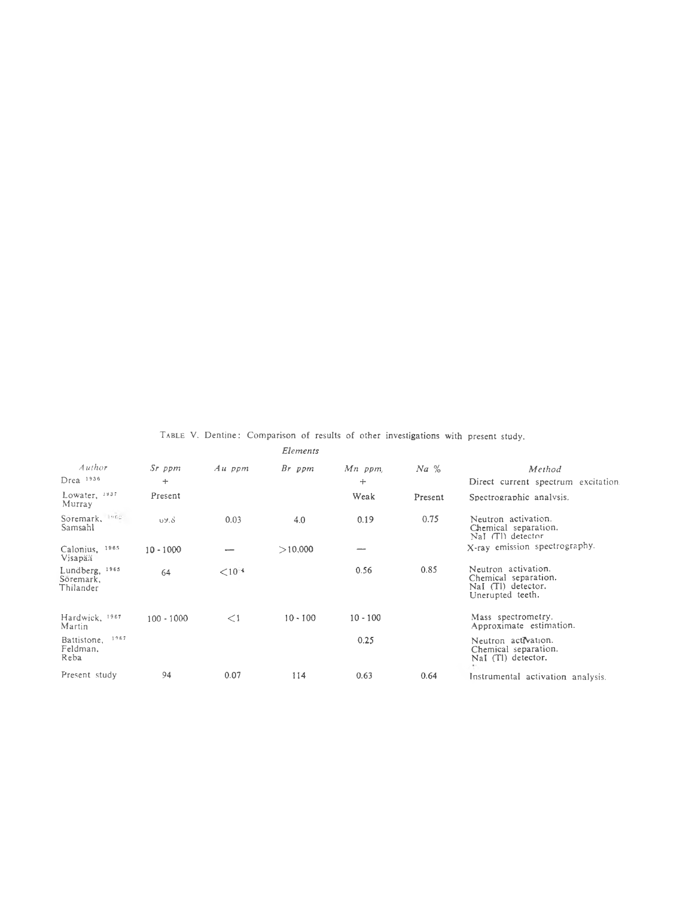|                                          |              |             | Elements   |            |         |                                                                                       |
|------------------------------------------|--------------|-------------|------------|------------|---------|---------------------------------------------------------------------------------------|
| Author                                   | $Sr$ ppm     | $Au$ ppm    | Br ppm     | Mn ppm     | $Na\%$  | Method                                                                                |
| $D$ rea $1936$                           | $+$          |             |            | $+$        |         | Direct current spectrum excitation                                                    |
| Lowater, 1937<br>Murray                  | Present      |             |            | Weak       | Present | Spectrographic analysis.                                                              |
| Soremark, 1962.<br>Samsahl               | 09.8         | 0.03        | 4.0        | 0.19       | 0.75    | Neutron activation.<br>Chemical separation.<br>NaI (Tl) detector                      |
| Calonius, 1965<br>Visapää                | $10 - 1000$  |             | >10,000    |            |         | X-ray emission spectrography.                                                         |
| Lundberg, 1965<br>Soremark,<br>Thilander | 64           | $< 10^{-4}$ |            | 0.56       | 0.85    | Neutron activation.<br>Chemical separation.<br>NaI (TI) detector.<br>Unerupted teeth. |
| Hardwick, 1967<br>Martin                 | $100 - 1000$ | $\leq$ 1    | $10 - 100$ | $10 - 100$ |         | Mass spectrometry.<br>Approximate estimation.                                         |
| 1967<br>Battistone,<br>Feldman.<br>Reba  |              |             |            | 0.25       |         | Neutron activation.<br>Chemical separation.<br>NaI (Tl) detector.                     |
| Present study                            | 94           | 0.07        | 114        | 0.63       | 0.64    | Instrumental activation analysis.                                                     |

# Table V. Dentine: Comparison of results of other investigations with present study.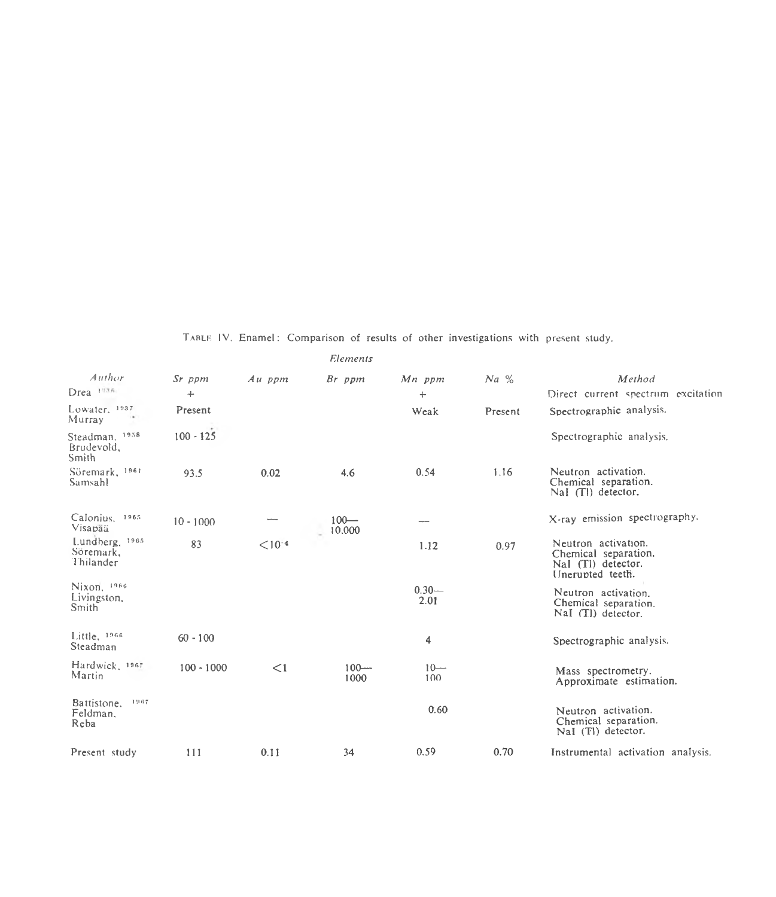**Tablk IV. Enamel: Comparison of results of other investigations with present study.**

| Author                                   | Sr ppm       | $Au$ ppm    | Br ppm            | Mn ppm           | $Na\%$  | Method                                                                                |
|------------------------------------------|--------------|-------------|-------------------|------------------|---------|---------------------------------------------------------------------------------------|
| Drea 1938                                | $+$          |             |                   | $\div$           |         | Direct current spectrum excitation                                                    |
| Lowater, 1937<br>Murray                  | Present      |             |                   | Weak             | Present | Spectrographic analysis.                                                              |
| Steadman, 1958<br>Brudevold,<br>Smith    | $100 - 125$  |             |                   |                  |         | Spectrographic analysis.                                                              |
| Söremark, <sup>1961</sup><br>Samsahl     | 93.5         | 0.02        | 4.6               | 0.54             | 1.16    | Neutron activation.<br>Chemical separation.<br>$NaI$ (TI) detector.                   |
| Calonius. 1865<br>Visapää                | $10 - 1000$  |             | $100 -$<br>10.000 |                  |         | X-ray emission spectrography.                                                         |
| Lundberg, 1965<br>Söremark,<br>Thilander | 83           | $< 10^{-4}$ |                   | 1.12             | 0.97    | Neutron activation.<br>Chemical separation.<br>Nal (TI) detector.<br>Unerupted teeth. |
| Nixon, 1966<br>Livingston,<br>Smith      |              |             |                   | $0.30 -$<br>2.01 |         | Neutron activation.<br>Chemical separation.<br>NaI (TI) detector.                     |
| Little, 1966<br>Steadman                 | $60 - 100$   |             |                   | 4                |         | Spectrographic analysis.                                                              |
| Hardwick, 1967.<br>Martin                | $100 - 1000$ | $\leq$ 1    | $100 -$<br>1000   | $10 -$<br>100    |         | Mass spectrometry.<br>Approximate estimation.                                         |
| Battistone.<br>1967<br>Feldman.<br>Reba  |              |             |                   | 0.60             |         | Neutron activation.<br>Chemical separation.<br>NaI (TI) detector.                     |
| Present study                            | 111          | 0.11        | 34                | 0.59             | 0.70    | Instrumental activation analysis.                                                     |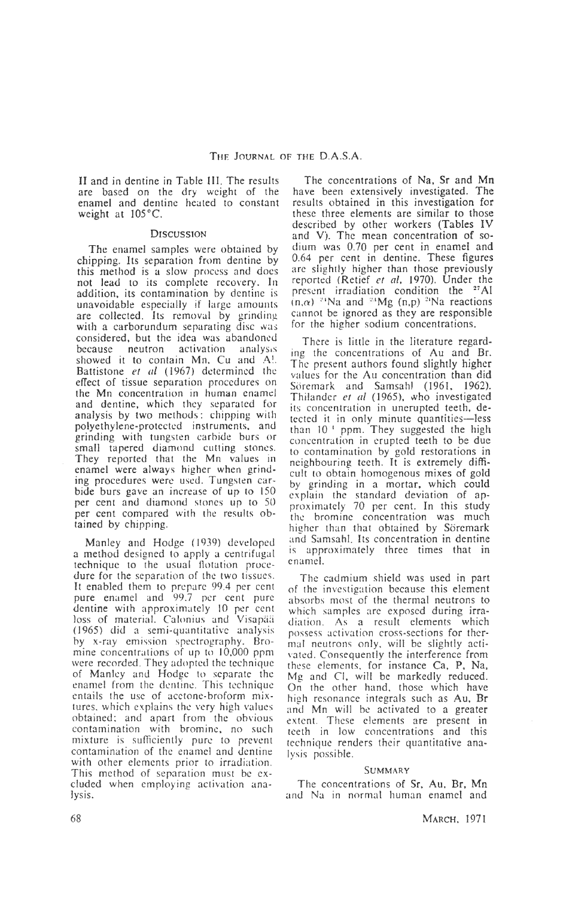II and in dentine in Table III. The results are based on the dry weight of the enamel and dentine healed to constant weight at  $105^{\circ}$ C.

## **D iscussion**

The enamel samples were obtained by chipping. Its separation from dentine by this method is a slow process and does not lead to its complete recovery. In addition, its contamination by dentine is unavoidable especially if large amounts are collected. Its removal by grinding with a carborundum separating disc was considered, but the idea was abandoned<br>because neutron activation analysis activation showed it to contain Mn, Cu and A!. Battistone *et al* (1967) determined the effect of tissue separation procedures on the Mn concentration in human enamel and dentine, which they separated for analysis by two methods: chipping with polyethylene-protected instruments, and grinding with tungsten carbide burs or small tapered diamond cutting stones. They reported that the Mn values in enamel were always higher when grinding procedures were used. Tungsten carbide burs gave an increase of up to 150 per cent and diamond stones up to 50 per cent compared with the results obtained by chipping.

Manley and Hodge (1939) developed a method designed to apply a centrifugal technique to the usual flotation procedure for the separation of the two tissues. It enabled them to prepare 99.4 per cent pure enamel and 99.7 per cent pure dentine with approximately 10 per cent loss of material. Calonius and Visapää (1965) did a semi-quantitative analysis by x-ray emission spectrography. Bromine concentrations of up to 10,000 ppm were recorded. They adopted the technique of Manley and Hodge to separate the enamel from the dentine. This technique entails the use of acetone-broform mixtures. which explains the very high values obtained: and apart from the obvious contamination with bromine, no such mixture is sufficiently pure to prevent contamination of the enamel and dentine with other elements prior to irradiation. This method of separation must be excluded when employing activation analysis.

The concentrations of Na, Sr and Mn have been extensively investigated. The results obtained in this investigation for these three elements are similar to those described by other workers (Tables IV and V). The mean concentration of sodium was 0.70 per cent in enamel and 0.64 per cent in dentine. These figures are slightly higher than those previously reported (Retief *et al,* 1970). Under the present irradiation condition the 27A1  $(n,\alpha)$ <sup>24</sup>Na and <sup>24</sup>Mg (n,p) <sup>24</sup>Na reactions cannot be ignored as they are responsible for the higher sodium concentrations.

There is little in the literature regarding the concentrations of Au and Br. The present authors found slightly higher values for the Au concentration than did Söremark and Samsahl (1961, 1962). Thilander *et al* (1965), who investigated its concentration in uncrupted teeth, detected it in only minute quantities—less than 10<sup>t</sup> ppm. They suggested the high concentration in erupted teeth to be due to contamination by gold restorations in neighbouring teeth. It is extremely difficult to obtain homogenous mixes of gold by grinding in a mortar, which could explain the standard deviation of approximately 70 per cent. In this study the bromine concentration was much higher than that obtained by Söremark and Samsahl. Its concentration in dentine is approximately three times that in enamel.

The cadmium shield was used in part of the investigation because this element absorbs most of the thermal neutrons to which samples are exposed during irradiation. As a result elements which possess activation cross-sections for thermal neutrons only, will be slightly activated. Consequently the interference from these elements, for instance Ca, P, Na, Mg and Cl, will be markedly reduced. On the other hand, those which have high resonance integrals such as Au, Br and Mn will be activated to a greater extent. These elements are present in teeth in low concentrations and this technique renders their quantitative analysis possible.

#### **SUMMARY**

The concentrations of Sr, Au, Br, Mn and Na in normal human enamel and